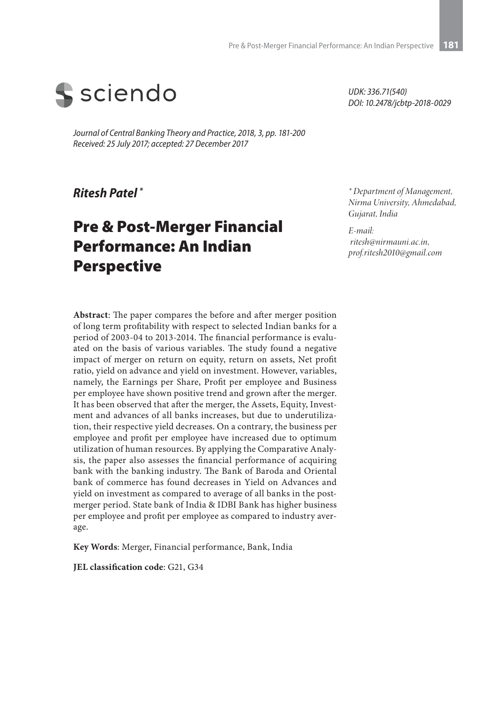

*Journal of Central Banking Theory and Practice, 2018, 3, pp. 181-200 Received: 25 July 2017; accepted: 27 December 2017*

*Ritesh Patel \**

# Pre & Post-Merger Financial Performance: An Indian Perspective

*UDK: 336.71(540) DOI: 10.2478/jcbtp-2018-0029*

*\* Department of Management, Nirma University, Ahmedabad, Gujarat, India*

*E-mail: ritesh@nirmauni.ac.in, prof.ritesh2010@gmail.com*

**Abstract**: The paper compares the before and after merger position of long term profitability with respect to selected Indian banks for a period of 2003-04 to 2013-2014. The financial performance is evaluated on the basis of various variables. The study found a negative impact of merger on return on equity, return on assets, Net profit ratio, yield on advance and yield on investment. However, variables, namely, the Earnings per Share, Profit per employee and Business per employee have shown positive trend and grown after the merger. It has been observed that after the merger, the Assets, Equity, Investment and advances of all banks increases, but due to underutilization, their respective yield decreases. On a contrary, the business per employee and profit per employee have increased due to optimum utilization of human resources. By applying the Comparative Analysis, the paper also assesses the financial performance of acquiring bank with the banking industry. The Bank of Baroda and Oriental bank of commerce has found decreases in Yield on Advances and yield on investment as compared to average of all banks in the postmerger period. State bank of India & IDBI Bank has higher business per employee and profit per employee as compared to industry average.

**Key Words**: Merger, Financial performance, Bank, India

**JEL classification code**: G21, G34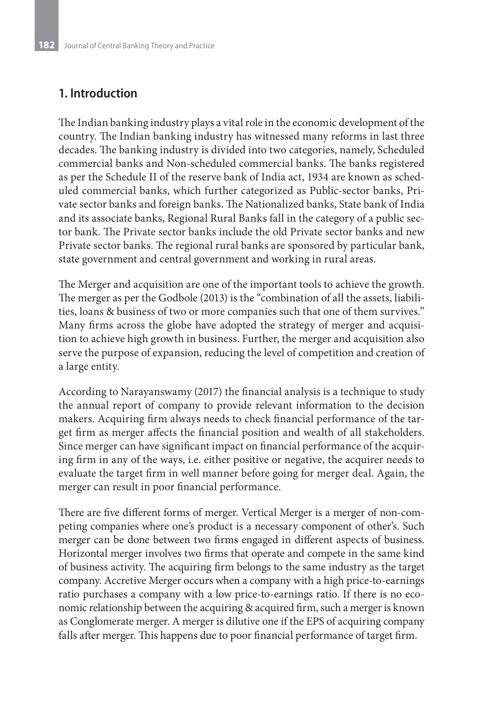# **1. Introduction**

The Indian banking industry plays a vital role in the economic development of the country. The Indian banking industry has witnessed many reforms in last three decades. The banking industry is divided into two categories, namely, Scheduled commercial banks and Non-scheduled commercial banks. The banks registered as per the Schedule II of the reserve bank of India act, 1934 are known as scheduled commercial banks, which further categorized as Public-sector banks, Private sector banks and foreign banks. The Nationalized banks, State bank of India and its associate banks, Regional Rural Banks fall in the category of a public sector bank. The Private sector banks include the old Private sector banks and new Private sector banks. The regional rural banks are sponsored by particular bank, state government and central government and working in rural areas.

The Merger and acquisition are one of the important tools to achieve the growth. The merger as per the Godbole (2013) is the "combination of all the assets, liabilities, loans & business of two or more companies such that one of them survives." Many firms across the globe have adopted the strategy of merger and acquisition to achieve high growth in business. Further, the merger and acquisition also serve the purpose of expansion, reducing the level of competition and creation of a large entity.

According to Narayanswamy (2017) the financial analysis is a technique to study the annual report of company to provide relevant information to the decision makers. Acquiring firm always needs to check financial performance of the target firm as merger affects the financial position and wealth of all stakeholders. Since merger can have significant impact on financial performance of the acquiring firm in any of the ways, i.e. either positive or negative, the acquirer needs to evaluate the target firm in well manner before going for merger deal. Again, the merger can result in poor financial performance.

There are five different forms of merger. Vertical Merger is a merger of non-competing companies where one's product is a necessary component of other's. Such merger can be done between two firms engaged in different aspects of business. Horizontal merger involves two firms that operate and compete in the same kind of business activity. The acquiring firm belongs to the same industry as the target company. Accretive Merger occurs when a company with a high price-to-earnings ratio purchases a company with a low price-to-earnings ratio. If there is no economic relationship between the acquiring & acquired firm, such a merger is known as Conglomerate merger. A merger is dilutive one if the EPS of acquiring company falls after merger. This happens due to poor financial performance of target firm.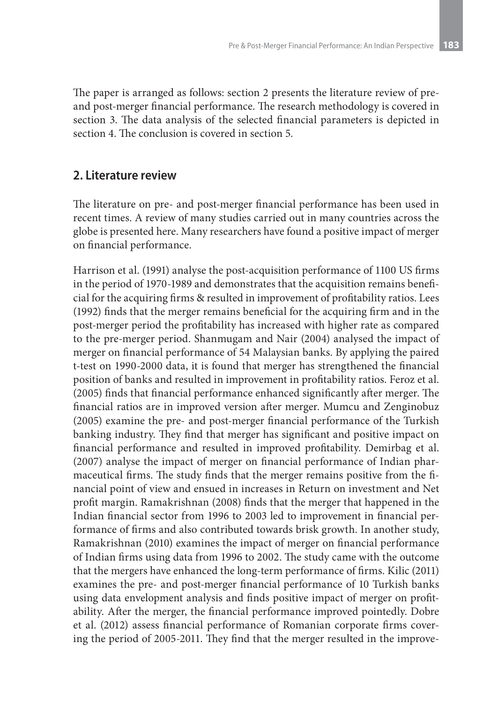The paper is arranged as follows: section 2 presents the literature review of preand post-merger financial performance. The research methodology is covered in section 3. The data analysis of the selected financial parameters is depicted in section 4. The conclusion is covered in section 5.

# **2. Literature review**

The literature on pre- and post-merger financial performance has been used in recent times. A review of many studies carried out in many countries across the globe is presented here. Many researchers have found a positive impact of merger on financial performance.

Harrison et al. (1991) analyse the post-acquisition performance of 1100 US firms in the period of 1970-1989 and demonstrates that the acquisition remains beneficial for the acquiring firms & resulted in improvement of profitability ratios. Lees (1992) finds that the merger remains beneficial for the acquiring firm and in the post-merger period the profitability has increased with higher rate as compared to the pre-merger period. Shanmugam and Nair (2004) analysed the impact of merger on financial performance of 54 Malaysian banks. By applying the paired t-test on 1990-2000 data, it is found that merger has strengthened the financial position of banks and resulted in improvement in profitability ratios. Feroz et al. (2005) finds that financial performance enhanced significantly after merger. The financial ratios are in improved version after merger. Mumcu and Zenginobuz (2005) examine the pre- and post-merger financial performance of the Turkish banking industry. They find that merger has significant and positive impact on financial performance and resulted in improved profitability. Demirbag et al. (2007) analyse the impact of merger on financial performance of Indian pharmaceutical firms. The study finds that the merger remains positive from the financial point of view and ensued in increases in Return on investment and Net profit margin. Ramakrishnan (2008) finds that the merger that happened in the Indian financial sector from 1996 to 2003 led to improvement in financial performance of firms and also contributed towards brisk growth. In another study, Ramakrishnan (2010) examines the impact of merger on financial performance of Indian firms using data from 1996 to 2002. The study came with the outcome that the mergers have enhanced the long-term performance of firms. Kilic (2011) examines the pre- and post-merger financial performance of 10 Turkish banks using data envelopment analysis and finds positive impact of merger on profitability. After the merger, the financial performance improved pointedly. Dobre et al. (2012) assess financial performance of Romanian corporate firms covering the period of 2005-2011. They find that the merger resulted in the improve-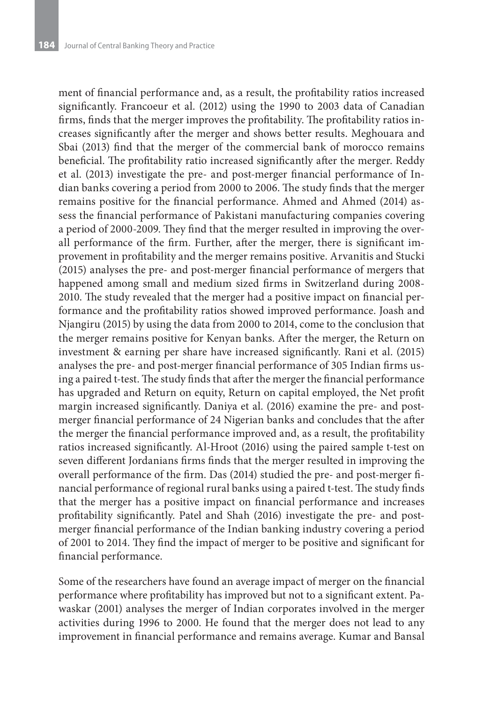ment of financial performance and, as a result, the profitability ratios increased significantly. Francoeur et al. (2012) using the 1990 to 2003 data of Canadian firms, finds that the merger improves the profitability. The profitability ratios increases significantly after the merger and shows better results. Meghouara and Sbai (2013) find that the merger of the commercial bank of morocco remains beneficial. The profitability ratio increased significantly after the merger. Reddy et al. (2013) investigate the pre- and post-merger financial performance of Indian banks covering a period from 2000 to 2006. The study finds that the merger remains positive for the financial performance. Ahmed and Ahmed (2014) assess the financial performance of Pakistani manufacturing companies covering a period of 2000-2009. They find that the merger resulted in improving the overall performance of the firm. Further, after the merger, there is significant improvement in profitability and the merger remains positive. Arvanitis and Stucki (2015) analyses the pre- and post-merger financial performance of mergers that happened among small and medium sized firms in Switzerland during 2008- 2010. The study revealed that the merger had a positive impact on financial performance and the profitability ratios showed improved performance. Joash and Njangiru (2015) by using the data from 2000 to 2014, come to the conclusion that the merger remains positive for Kenyan banks. After the merger, the Return on investment & earning per share have increased significantly. Rani et al. (2015) analyses the pre- and post-merger financial performance of 305 Indian firms using a paired t-test. The study finds that after the merger the financial performance has upgraded and Return on equity, Return on capital employed, the Net profit margin increased significantly. Daniya et al. (2016) examine the pre- and postmerger financial performance of 24 Nigerian banks and concludes that the after the merger the financial performance improved and, as a result, the profitability ratios increased significantly. Al-Hroot (2016) using the paired sample t-test on seven different Jordanians firms finds that the merger resulted in improving the overall performance of the firm. Das (2014) studied the pre- and post-merger financial performance of regional rural banks using a paired t-test. The study finds that the merger has a positive impact on financial performance and increases profitability significantly. Patel and Shah (2016) investigate the pre- and postmerger financial performance of the Indian banking industry covering a period of 2001 to 2014. They find the impact of merger to be positive and significant for financial performance.

Some of the researchers have found an average impact of merger on the financial performance where profitability has improved but not to a significant extent. Pawaskar (2001) analyses the merger of Indian corporates involved in the merger activities during 1996 to 2000. He found that the merger does not lead to any improvement in financial performance and remains average. Kumar and Bansal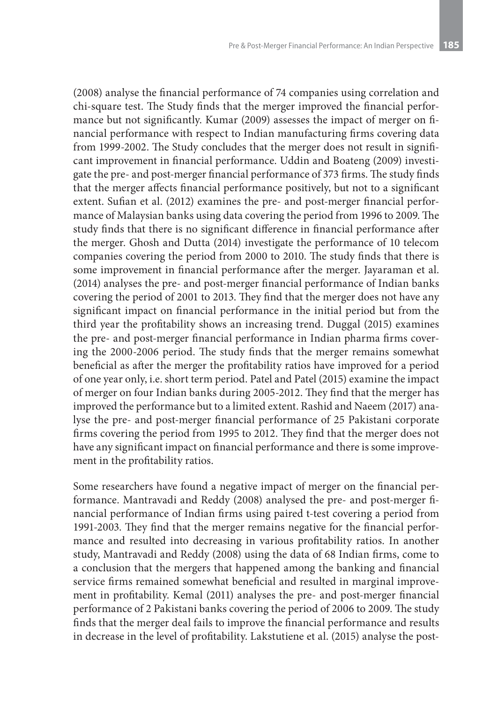(2008) analyse the financial performance of 74 companies using correlation and chi-square test. The Study finds that the merger improved the financial performance but not significantly. Kumar (2009) assesses the impact of merger on financial performance with respect to Indian manufacturing firms covering data from 1999-2002. The Study concludes that the merger does not result in significant improvement in financial performance. Uddin and Boateng (2009) investigate the pre- and post-merger financial performance of 373 firms. The study finds that the merger affects financial performance positively, but not to a significant extent. Sufian et al. (2012) examines the pre- and post-merger financial performance of Malaysian banks using data covering the period from 1996 to 2009. The study finds that there is no significant difference in financial performance after the merger. Ghosh and Dutta (2014) investigate the performance of 10 telecom companies covering the period from 2000 to 2010. The study finds that there is some improvement in financial performance after the merger. Jayaraman et al. (2014) analyses the pre- and post-merger financial performance of Indian banks covering the period of 2001 to 2013. They find that the merger does not have any significant impact on financial performance in the initial period but from the third year the profitability shows an increasing trend. Duggal (2015) examines the pre- and post-merger financial performance in Indian pharma firms covering the 2000-2006 period. The study finds that the merger remains somewhat beneficial as after the merger the profitability ratios have improved for a period of one year only, i.e. short term period. Patel and Patel (2015) examine the impact of merger on four Indian banks during 2005-2012. They find that the merger has improved the performance but to a limited extent. Rashid and Naeem (2017) analyse the pre- and post-merger financial performance of 25 Pakistani corporate firms covering the period from 1995 to 2012. They find that the merger does not have any significant impact on financial performance and there is some improvement in the profitability ratios.

Some researchers have found a negative impact of merger on the financial performance. Mantravadi and Reddy (2008) analysed the pre- and post-merger financial performance of Indian firms using paired t-test covering a period from 1991-2003. They find that the merger remains negative for the financial performance and resulted into decreasing in various profitability ratios. In another study, Mantravadi and Reddy (2008) using the data of 68 Indian firms, come to a conclusion that the mergers that happened among the banking and financial service firms remained somewhat beneficial and resulted in marginal improvement in profitability. Kemal (2011) analyses the pre- and post-merger financial performance of 2 Pakistani banks covering the period of 2006 to 2009. The study finds that the merger deal fails to improve the financial performance and results in decrease in the level of profitability. Lakstutiene et al. (2015) analyse the post-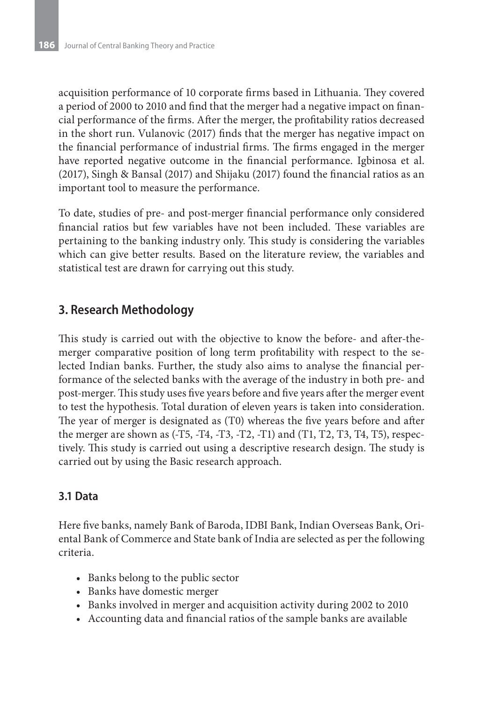acquisition performance of 10 corporate firms based in Lithuania. They covered a period of 2000 to 2010 and find that the merger had a negative impact on financial performance of the firms. After the merger, the profitability ratios decreased in the short run. Vulanovic (2017) finds that the merger has negative impact on the financial performance of industrial firms. The firms engaged in the merger have reported negative outcome in the financial performance. Igbinosa et al. (2017), Singh & Bansal (2017) and Shijaku (2017) found the financial ratios as an important tool to measure the performance.

To date, studies of pre- and post-merger financial performance only considered financial ratios but few variables have not been included. These variables are pertaining to the banking industry only. This study is considering the variables which can give better results. Based on the literature review, the variables and statistical test are drawn for carrying out this study.

# **3. Research Methodology**

This study is carried out with the objective to know the before- and after-themerger comparative position of long term profitability with respect to the selected Indian banks. Further, the study also aims to analyse the financial performance of the selected banks with the average of the industry in both pre- and post-merger. This study uses five years before and five years after the merger event to test the hypothesis. Total duration of eleven years is taken into consideration. The year of merger is designated as (T0) whereas the five years before and after the merger are shown as  $(-T5, -T4, -T3, -T2, -T1)$  and  $(T1, T2, T3, T4, T5)$ , respectively. This study is carried out using a descriptive research design. The study is carried out by using the Basic research approach.

# **3.1 Data**

Here five banks, namely Bank of Baroda, IDBI Bank, Indian Overseas Bank, Oriental Bank of Commerce and State bank of India are selected as per the following criteria.

- Banks belong to the public sector
- • Banks have domestic merger
- Banks involved in merger and acquisition activity during 2002 to 2010
- • Accounting data and financial ratios of the sample banks are available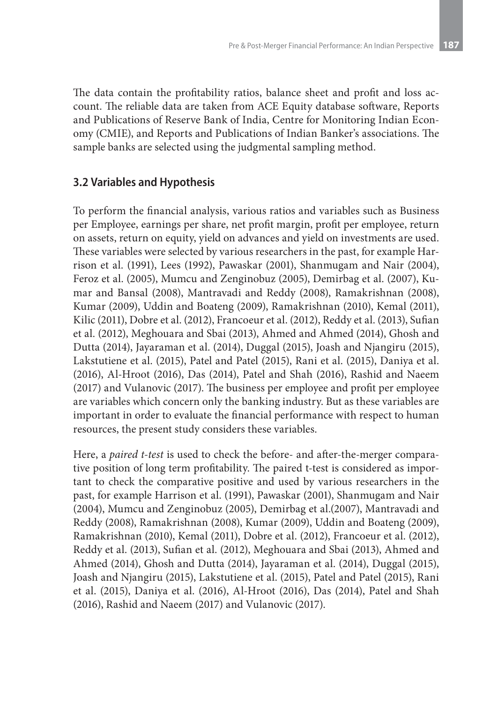The data contain the profitability ratios, balance sheet and profit and loss account. The reliable data are taken from ACE Equity database software, Reports and Publications of Reserve Bank of India, Centre for Monitoring Indian Economy (CMIE), and Reports and Publications of Indian Banker's associations. The sample banks are selected using the judgmental sampling method.

# **3.2 Variables and Hypothesis**

To perform the financial analysis, various ratios and variables such as Business per Employee, earnings per share, net profit margin, profit per employee, return on assets, return on equity, yield on advances and yield on investments are used. These variables were selected by various researchers in the past, for example Harrison et al. (1991), Lees (1992), Pawaskar (2001), Shanmugam and Nair (2004), Feroz et al. (2005), Mumcu and Zenginobuz (2005), Demirbag et al. (2007), Kumar and Bansal (2008), Mantravadi and Reddy (2008), Ramakrishnan (2008), Kumar (2009), Uddin and Boateng (2009), Ramakrishnan (2010), Kemal (2011), Kilic (2011), Dobre et al. (2012), Francoeur et al. (2012), Reddy et al. (2013), Sufian et al. (2012), Meghouara and Sbai (2013), Ahmed and Ahmed (2014), Ghosh and Dutta (2014), Jayaraman et al. (2014), Duggal (2015), Joash and Njangiru (2015), Lakstutiene et al. (2015), Patel and Patel (2015), Rani et al. (2015), Daniya et al. (2016), Al-Hroot (2016), Das (2014), Patel and Shah (2016), Rashid and Naeem (2017) and Vulanovic (2017). The business per employee and profit per employee are variables which concern only the banking industry. But as these variables are important in order to evaluate the financial performance with respect to human resources, the present study considers these variables.

Here, a *paired t-test* is used to check the before- and after-the-merger comparative position of long term profitability. The paired t-test is considered as important to check the comparative positive and used by various researchers in the past, for example Harrison et al. (1991), Pawaskar (2001), Shanmugam and Nair (2004), Mumcu and Zenginobuz (2005), Demirbag et al.(2007), Mantravadi and Reddy (2008), Ramakrishnan (2008), Kumar (2009), Uddin and Boateng (2009), Ramakrishnan (2010), Kemal (2011), Dobre et al. (2012), Francoeur et al. (2012), Reddy et al. (2013), Sufian et al. (2012), Meghouara and Sbai (2013), Ahmed and Ahmed (2014), Ghosh and Dutta (2014), Jayaraman et al. (2014), Duggal (2015), Joash and Njangiru (2015), Lakstutiene et al. (2015), Patel and Patel (2015), Rani et al. (2015), Daniya et al. (2016), Al-Hroot (2016), Das (2014), Patel and Shah (2016), Rashid and Naeem (2017) and Vulanovic (2017).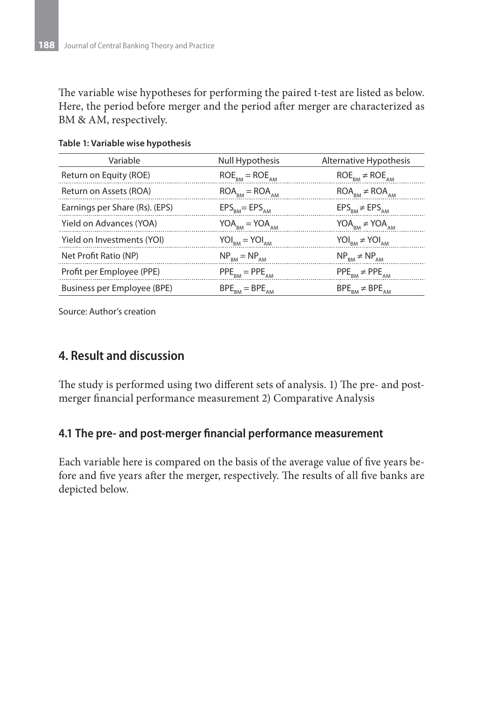The variable wise hypotheses for performing the paired t-test are listed as below. Here, the period before merger and the period after merger are characterized as BM & AM, respectively.

| Variable                       | Null Hypothesis                                           | Alternative Hypothesis                                       |
|--------------------------------|-----------------------------------------------------------|--------------------------------------------------------------|
| Return on Equity (ROE)         | $\mathsf{ROE}_{\mathsf{RM}} = \mathsf{ROE}_{\mathsf{AM}}$ | $ROEBM \neq ROEAM$                                           |
| Return on Assets (ROA)         | $ROARM = ROAAM$                                           | $ROARM \neq ROAAM$                                           |
| Earnings per Share (Rs). (EPS) | $EPSBM = EPSAM$                                           | $\mathsf{EPS}_{\mathsf{BM}} \neq \mathsf{EPS}_{\mathsf{AM}}$ |
| Yield on Advances (YOA)        | $YOARM = YOAAM$                                           | $YOABM \neq YOAAM$                                           |
| Yield on Investments (YOI)     | $\text{YOI}_{\text{RM}} = \text{YOI}_{\text{AM}}$         | $\text{YOI}_{\text{RM}} \neq \text{YOI}_{\text{AM}}$         |
| Net Profit Ratio (NP)          | $NPRM = NPAM$                                             | $NPRM \ne NPAM$                                              |
| Profit per Employee (PPE)      | $PPEBM = PPEAM$                                           | $\mathsf{PPE}_{\mathsf{BM}} \neq \mathsf{PPE}_{\mathsf{AM}}$ |
| Business per Employee (BPE)    | $BPEBM = BPEAM$                                           | $BPERM \ne BPEAM$                                            |

#### **Table 1: Variable wise hypothesis**

Source: Author's creation

# **4. Result and discussion**

The study is performed using two different sets of analysis. 1) The pre- and postmerger financial performance measurement 2) Comparative Analysis

# **4.1 The pre- and post-merger financial performance measurement**

Each variable here is compared on the basis of the average value of five years before and five years after the merger, respectively. The results of all five banks are depicted below.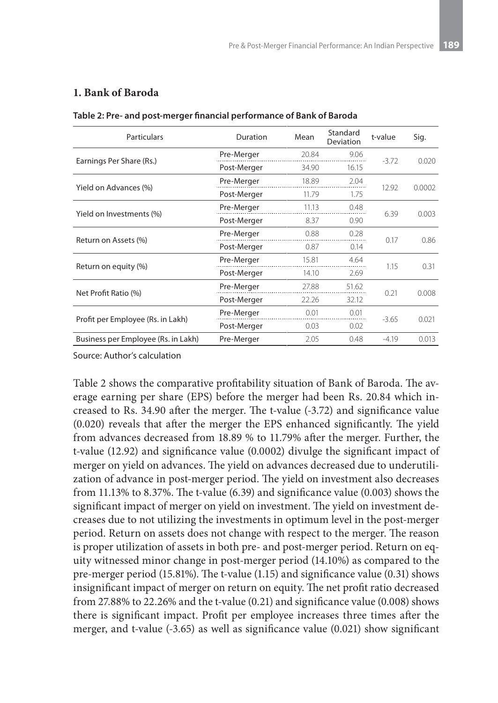#### **1. Bank of Baroda**

| <b>Particulars</b>                  | Duration    | Mean  | Standard<br>Deviation | t-value | Sig.   |
|-------------------------------------|-------------|-------|-----------------------|---------|--------|
|                                     | Pre-Merger  | 20.84 | 9.06                  |         |        |
| Earnings Per Share (Rs.)            | Post-Merger | 34.90 | 16.15                 | $-3.72$ | 0.020  |
| Yield on Advances (%)               | Pre-Merger  | 18.89 | 2.04                  | 12.92   | 0.0002 |
|                                     | Post-Merger | 11.79 | 1.75                  |         |        |
|                                     | Pre-Merger  | 11.13 | 0.48                  | 6.39    | 0.003  |
| Yield on Investments (%)            | Post-Merger | 8.37  | 0.90                  |         |        |
|                                     | Pre-Merger  | 0.88  | 0.28                  | 0.17    | 0.86   |
| Return on Assets (%)                | Post-Merger | 0.87  | 0.14                  |         |        |
|                                     | Pre-Merger  | 15.81 | 4.64                  |         | 0.31   |
| Return on equity (%)                | Post-Merger | 14.10 | 2.69                  | 1.15    |        |
|                                     | Pre-Merger  | 27.88 | 51.62                 | 0.21    |        |
| Net Profit Ratio (%)                | Post-Merger | 22.26 | 32.12                 |         | 0.008  |
| Profit per Employee (Rs. in Lakh)   | Pre-Merger  | 0.01  | 0.01                  |         |        |
|                                     | Post-Merger | 0.03  | 0.02                  | $-3.65$ | 0.021  |
| Business per Employee (Rs. in Lakh) | Pre-Merger  | 2.05  | 0.48                  | $-4.19$ | 0.013  |

Source: Author's calculation

Table 2 shows the comparative profitability situation of Bank of Baroda. The average earning per share (EPS) before the merger had been Rs. 20.84 which increased to Rs. 34.90 after the merger. The t-value (-3.72) and significance value (0.020) reveals that after the merger the EPS enhanced significantly. The yield from advances decreased from 18.89 % to 11.79% after the merger. Further, the t-value (12.92) and significance value (0.0002) divulge the significant impact of merger on yield on advances. The yield on advances decreased due to underutilization of advance in post-merger period. The yield on investment also decreases from 11.13% to 8.37%. The t-value (6.39) and significance value (0.003) shows the significant impact of merger on yield on investment. The yield on investment decreases due to not utilizing the investments in optimum level in the post-merger period. Return on assets does not change with respect to the merger. The reason is proper utilization of assets in both pre- and post-merger period. Return on equity witnessed minor change in post-merger period (14.10%) as compared to the pre-merger period (15.81%). The t-value (1.15) and significance value (0.31) shows insignificant impact of merger on return on equity. The net profit ratio decreased from 27.88% to 22.26% and the t-value (0.21) and significance value (0.008) shows there is significant impact. Profit per employee increases three times after the merger, and t-value (-3.65) as well as significance value (0.021) show significant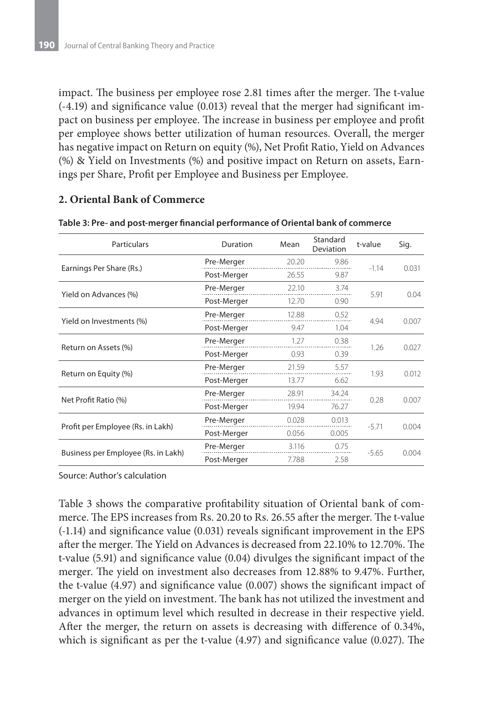impact. The business per employee rose 2.81 times after the merger. The t-value (-4.19) and significance value (0.013) reveal that the merger had significant impact on business per employee. The increase in business per employee and profit per employee shows better utilization of human resources. Overall, the merger has negative impact on Return on equity (%), Net Profit Ratio, Yield on Advances (%) & Yield on Investments (%) and positive impact on Return on assets, Earnings per Share, Profit per Employee and Business per Employee.

#### **2. Oriental Bank of Commerce**

| Particulars                         | <b>Duration</b> | Mean  | Standard<br>Deviation | t-value | Sig.  |
|-------------------------------------|-----------------|-------|-----------------------|---------|-------|
|                                     | Pre-Merger      | 20.20 | 9.86                  | $-1.14$ | 0.031 |
| Earnings Per Share (Rs.)            | Post-Merger     | 26.55 | 9.87                  |         |       |
| Yield on Advances (%)               | Pre-Merger      | 22.10 | 3.74                  | 5.91    | 0.04  |
|                                     | Post-Merger     | 12.70 | 0.90                  |         |       |
| Yield on Investments (%)            | Pre-Merger      | 12.88 | 0.52                  | 4.94    | 0.007 |
|                                     | Post-Merger     | 9.47  | 1.04                  |         |       |
| Return on Assets (%)                | Pre-Merger      | 1.27  | 0.38                  | 1.26    | 0.027 |
|                                     | Post-Merger     | 0.93  | 0.39                  |         |       |
| Return on Equity (%)                | Pre-Merger      | 21.59 | 5.57                  | 1.93    | 0.012 |
|                                     | Post-Merger     | 13.77 | 6.62                  |         |       |
| Net Profit Ratio (%)                | Pre-Merger      | 28.91 | 34.24                 | 0.28    | 0.007 |
|                                     | Post-Merger     | 19.94 | 76.27                 |         |       |
| Profit per Employee (Rs. in Lakh)   | Pre-Merger      | 0.028 | 0.013                 | $-5.71$ | 0.004 |
|                                     | Post-Merger     | 0.056 | 0.005                 |         |       |
|                                     | Pre-Merger      | 3.116 | 0.75                  | $-5.65$ |       |
| Business per Employee (Rs. in Lakh) | Post-Merger     | 7.788 | 2.58                  |         | 0.004 |

**Table 3: Pre- and post-merger financial performance of Oriental bank of commerce**

Source: Author's calculation

Table 3 shows the comparative profitability situation of Oriental bank of commerce. The EPS increases from Rs. 20.20 to Rs. 26.55 after the merger. The t-value (-1.14) and significance value (0.031) reveals significant improvement in the EPS after the merger. The Yield on Advances is decreased from 22.10% to 12.70%. The t-value (5.91) and significance value (0.04) divulges the significant impact of the merger. The yield on investment also decreases from 12.88% to 9.47%. Further, the t-value (4.97) and significance value (0.007) shows the significant impact of merger on the yield on investment. The bank has not utilized the investment and advances in optimum level which resulted in decrease in their respective yield. After the merger, the return on assets is decreasing with difference of 0.34%, which is significant as per the t-value (4.97) and significance value (0.027). The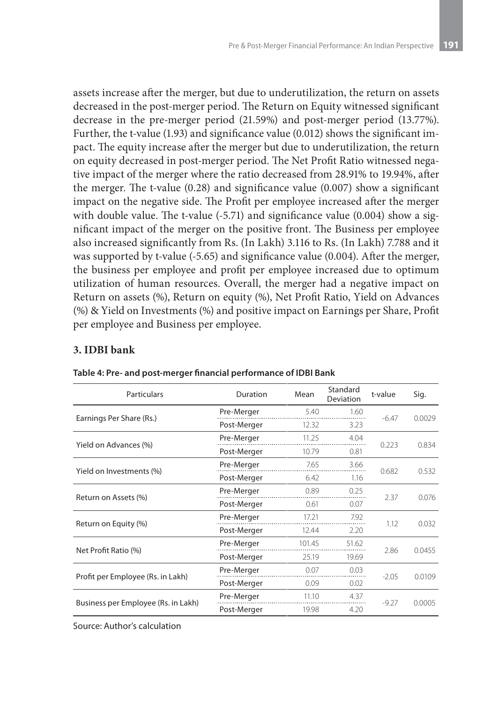assets increase after the merger, but due to underutilization, the return on assets decreased in the post-merger period. The Return on Equity witnessed significant decrease in the pre-merger period (21.59%) and post-merger period (13.77%). Further, the t-value (1.93) and significance value (0.012) shows the significant impact. The equity increase after the merger but due to underutilization, the return on equity decreased in post-merger period. The Net Profit Ratio witnessed negative impact of the merger where the ratio decreased from 28.91% to 19.94%, after the merger. The t-value (0.28) and significance value (0.007) show a significant impact on the negative side. The Profit per employee increased after the merger with double value. The t-value (-5.71) and significance value (0.004) show a significant impact of the merger on the positive front. The Business per employee also increased significantly from Rs. (In Lakh) 3.116 to Rs. (In Lakh) 7.788 and it was supported by t-value (-5.65) and significance value (0.004). After the merger, the business per employee and profit per employee increased due to optimum utilization of human resources. Overall, the merger had a negative impact on Return on assets (%), Return on equity (%), Net Profit Ratio, Yield on Advances (%) & Yield on Investments (%) and positive impact on Earnings per Share, Profit per employee and Business per employee.

#### **3. IDBI bank**

| Particulars                         | <b>Duration</b> | Mean   | Standard<br>Deviation | t-value | Sig.   |
|-------------------------------------|-----------------|--------|-----------------------|---------|--------|
|                                     | Pre-Merger      | 5.40   | 1.60                  | $-6.47$ |        |
| Earnings Per Share (Rs.)            | Post-Merger     | 12.32  | 3.23                  |         | 0.0029 |
| Yield on Advances (%)               | Pre-Merger      | 11.25  | 4.04                  | 0.223   | 0.834  |
|                                     | Post-Merger     | 10.79  | 0.81                  |         |        |
| Yield on Investments (%)            | Pre-Merger      | 7.65   | 3.66                  | 0.682   | 0.532  |
|                                     | Post-Merger     | 6.42   | 1.16                  |         |        |
| Return on Assets (%)                | Pre-Merger      | 0.89   | 0.25                  | 2.37    | 0.076  |
|                                     | Post-Merger     | 0.61   | 0.07                  |         |        |
| Return on Equity (%)                | Pre-Merger      | 17.21  | 7.92                  | 1.12    | 0.032  |
|                                     | Post-Merger     | 12.44  | 2.20                  |         |        |
| Net Profit Ratio (%)                | Pre-Merger      | 101.45 | 51.62                 | 2.86    | 0.0455 |
|                                     | Post-Merger     | 25.19  | 19.69                 |         |        |
| Profit per Employee (Rs. in Lakh)   | Pre-Merger      | 0.07   | 0.03                  | $-2.05$ | 0.0109 |
|                                     | Post-Merger     | 0.09   | 0.02                  |         |        |
| Business per Employee (Rs. in Lakh) | Pre-Merger      | 11.10  | 4.37                  | $-9.27$ | 0.0005 |
|                                     | Post-Merger     | 19.98  | 4.20                  |         |        |

**Table 4: Pre- and post-merger financial performance of IDBI Bank**

Source: Author's calculation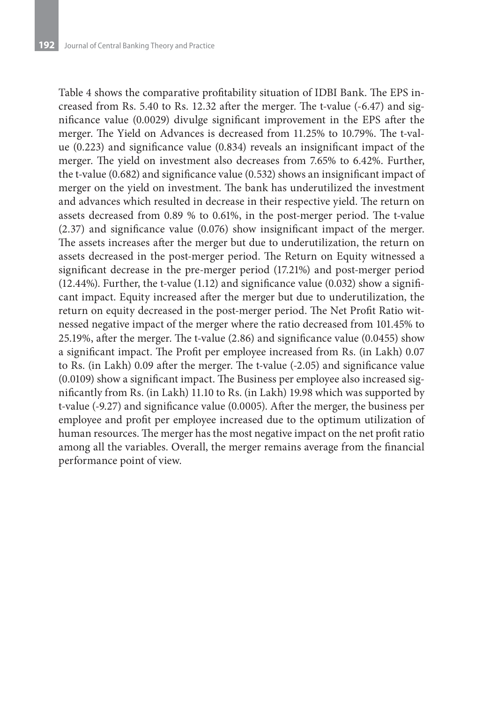Table 4 shows the comparative profitability situation of IDBI Bank. The EPS increased from Rs. 5.40 to Rs. 12.32 after the merger. The t-value (-6.47) and significance value (0.0029) divulge significant improvement in the EPS after the merger. The Yield on Advances is decreased from 11.25% to 10.79%. The t-value (0.223) and significance value (0.834) reveals an insignificant impact of the merger. The yield on investment also decreases from 7.65% to 6.42%. Further, the t-value (0.682) and significance value (0.532) shows an insignificant impact of merger on the yield on investment. The bank has underutilized the investment and advances which resulted in decrease in their respective yield. The return on assets decreased from 0.89 % to 0.61%, in the post-merger period. The t-value (2.37) and significance value (0.076) show insignificant impact of the merger. The assets increases after the merger but due to underutilization, the return on assets decreased in the post-merger period. The Return on Equity witnessed a significant decrease in the pre-merger period (17.21%) and post-merger period  $(12.44%)$ . Further, the t-value  $(1.12)$  and significance value  $(0.032)$  show a significant impact. Equity increased after the merger but due to underutilization, the return on equity decreased in the post-merger period. The Net Profit Ratio witnessed negative impact of the merger where the ratio decreased from 101.45% to 25.19%, after the merger. The t-value (2.86) and significance value (0.0455) show a significant impact. The Profit per employee increased from Rs. (in Lakh) 0.07 to Rs. (in Lakh) 0.09 after the merger. The t-value (-2.05) and significance value (0.0109) show a significant impact. The Business per employee also increased significantly from Rs. (in Lakh) 11.10 to Rs. (in Lakh) 19.98 which was supported by t-value (-9.27) and significance value (0.0005). After the merger, the business per employee and profit per employee increased due to the optimum utilization of human resources. The merger has the most negative impact on the net profit ratio among all the variables. Overall, the merger remains average from the financial performance point of view.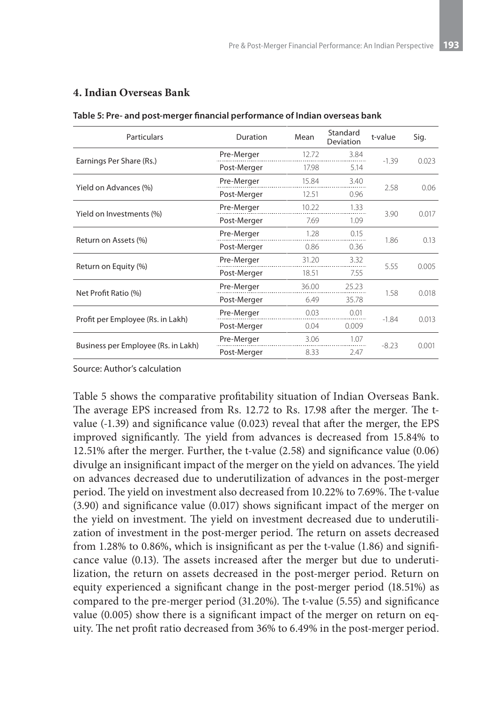| Particulars                         | Duration    | Mean  | Standard<br>Deviation | t-value | Sig.  |
|-------------------------------------|-------------|-------|-----------------------|---------|-------|
| Earnings Per Share (Rs.)            | Pre-Merger  | 12.72 | 3.84                  |         |       |
|                                     | Post-Merger | 17.98 | 5.14                  | $-1.39$ | 0.023 |
|                                     | Pre-Merger  | 15.84 | 3.40                  | 2.58    | 0.06  |
| Yield on Advances (%)               | Post-Merger | 12.51 | 0.96                  |         |       |
|                                     | Pre-Merger  | 10.22 | 1.33                  | 3.90    | 0.017 |
| Yield on Investments (%)            | Post-Merger | 7.69  | 1.09                  |         |       |
|                                     | Pre-Merger  | 1.28  | 0.15                  | 1.86    | 0.13  |
| Return on Assets (%)                | Post-Merger | 0.86  | 0.36                  |         |       |
| Return on Equity (%)                | Pre-Merger  | 31.20 | 3.32                  | 5.55    | 0.005 |
|                                     | Post-Merger | 18.51 | 7.55                  |         |       |
| Net Profit Ratio (%)                | Pre-Merger  | 36.00 | 25.23                 | 1.58    | 0.018 |
|                                     | Post-Merger | 6.49  | 35.78                 |         |       |
| Profit per Employee (Rs. in Lakh)   | Pre-Merger  | 0.03  | 0.01                  | $-1.84$ | 0.013 |
|                                     | Post-Merger | 0.04  | 0.009                 |         |       |
| Business per Employee (Rs. in Lakh) | Pre-Merger  | 3.06  | 1.07                  | $-8.23$ |       |
|                                     | Post-Merger | 8.33  | 2.47                  |         | 0.001 |

#### **4. Indian Overseas Bank**

Source: Author's calculation

Table 5 shows the comparative profitability situation of Indian Overseas Bank. The average EPS increased from Rs. 12.72 to Rs. 17.98 after the merger. The tvalue (-1.39) and significance value (0.023) reveal that after the merger, the EPS improved significantly. The yield from advances is decreased from 15.84% to 12.51% after the merger. Further, the t-value (2.58) and significance value (0.06) divulge an insignificant impact of the merger on the yield on advances. The yield on advances decreased due to underutilization of advances in the post-merger period. The yield on investment also decreased from 10.22% to 7.69%. The t-value (3.90) and significance value (0.017) shows significant impact of the merger on the yield on investment. The yield on investment decreased due to underutilization of investment in the post-merger period. The return on assets decreased from 1.28% to 0.86%, which is insignificant as per the t-value (1.86) and significance value (0.13). The assets increased after the merger but due to underutilization, the return on assets decreased in the post-merger period. Return on equity experienced a significant change in the post-merger period (18.51%) as compared to the pre-merger period (31.20%). The t-value (5.55) and significance value (0.005) show there is a significant impact of the merger on return on equity. The net profit ratio decreased from 36% to 6.49% in the post-merger period.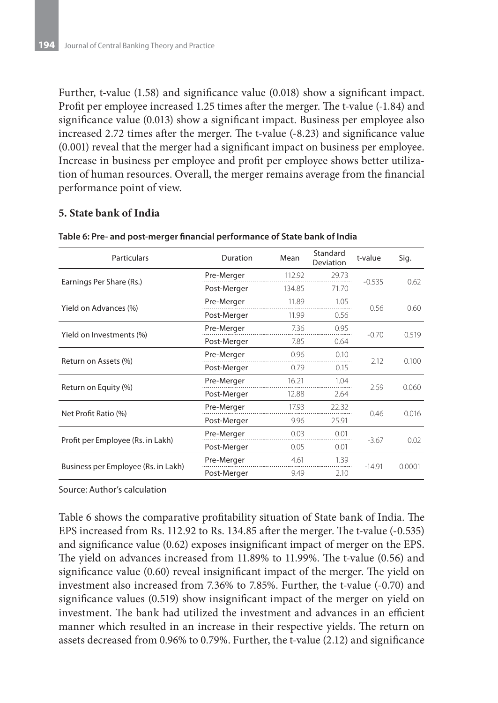Further, t-value (1.58) and significance value (0.018) show a significant impact. Profit per employee increased 1.25 times after the merger. The t-value (-1.84) and significance value (0.013) show a significant impact. Business per employee also increased 2.72 times after the merger. The t-value (-8.23) and significance value (0.001) reveal that the merger had a significant impact on business per employee. Increase in business per employee and profit per employee shows better utilization of human resources. Overall, the merger remains average from the financial performance point of view.

#### **5. State bank of India**

| <b>Particulars</b>                  | Duration    | Mean   | Standard<br>Deviation | t-value  | Sig.   |
|-------------------------------------|-------------|--------|-----------------------|----------|--------|
|                                     | Pre-Merger  | 112.92 | 29.73                 | $-0.535$ | 0.62   |
| Earnings Per Share (Rs.)            | Post-Merger | 134.85 | 71.70                 |          |        |
|                                     | Pre-Merger  | 11.89  | 1.05                  | 0.56     |        |
| Yield on Advances (%)               | Post-Merger | 11.99  | 0.56                  |          | 0.60   |
|                                     | Pre-Merger  | 7.36   | 0.95                  | $-0.70$  | 0.519  |
| Yield on Investments (%)            | Post-Merger | 7.85   | 0.64                  |          |        |
|                                     | Pre-Merger  | 0.96   | 0.10                  |          | 0.100  |
| Return on Assets (%)                | Post-Merger | 0.79   | 0.15                  | 2.12     |        |
|                                     | Pre-Merger  | 16.21  | 1.04                  |          | 0.060  |
| Return on Equity (%)                | Post-Merger | 12.88  | 2.64                  | 2.59     |        |
|                                     | Pre-Merger  | 17.93  | 22.32                 | 0.46     |        |
| Net Profit Ratio (%)                | Post-Merger | 9.96   | 25.91                 |          | 0.016  |
| Profit per Employee (Rs. in Lakh)   | Pre-Merger  | 0.03   | 0.01                  | $-3.67$  |        |
|                                     | Post-Merger | 0.05   | 0.01                  |          | 0.02   |
| Business per Employee (Rs. in Lakh) | Pre-Merger  | 4.61   | 1.39                  | $-14.91$ |        |
|                                     | Post-Merger | 9.49   | 2.10                  |          | 0.0001 |

**Table 6: Pre- and post-merger financial performance of State bank of India**

Source: Author's calculation

Table 6 shows the comparative profitability situation of State bank of India. The EPS increased from Rs. 112.92 to Rs. 134.85 after the merger. The t-value (-0.535) and significance value (0.62) exposes insignificant impact of merger on the EPS. The yield on advances increased from 11.89% to 11.99%. The t-value (0.56) and significance value (0.60) reveal insignificant impact of the merger. The yield on investment also increased from 7.36% to 7.85%. Further, the t-value (-0.70) and significance values (0.519) show insignificant impact of the merger on yield on investment. The bank had utilized the investment and advances in an efficient manner which resulted in an increase in their respective yields. The return on assets decreased from 0.96% to 0.79%. Further, the t-value (2.12) and significance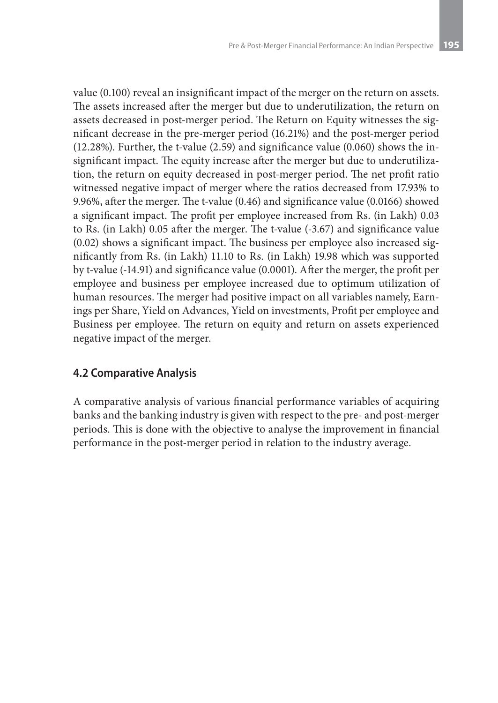value (0.100) reveal an insignificant impact of the merger on the return on assets. The assets increased after the merger but due to underutilization, the return on assets decreased in post-merger period. The Return on Equity witnesses the significant decrease in the pre-merger period (16.21%) and the post-merger period (12.28%). Further, the t-value (2.59) and significance value (0.060) shows the insignificant impact. The equity increase after the merger but due to underutilization, the return on equity decreased in post-merger period. The net profit ratio witnessed negative impact of merger where the ratios decreased from 17.93% to 9.96%, after the merger. The t-value (0.46) and significance value (0.0166) showed a significant impact. The profit per employee increased from Rs. (in Lakh) 0.03 to Rs. (in Lakh) 0.05 after the merger. The t-value (-3.67) and significance value (0.02) shows a significant impact. The business per employee also increased significantly from Rs. (in Lakh) 11.10 to Rs. (in Lakh) 19.98 which was supported by t-value (-14.91) and significance value (0.0001). After the merger, the profit per employee and business per employee increased due to optimum utilization of human resources. The merger had positive impact on all variables namely, Earnings per Share, Yield on Advances, Yield on investments, Profit per employee and Business per employee. The return on equity and return on assets experienced negative impact of the merger.

# **4.2 Comparative Analysis**

A comparative analysis of various financial performance variables of acquiring banks and the banking industry is given with respect to the pre- and post-merger periods. This is done with the objective to analyse the improvement in financial performance in the post-merger period in relation to the industry average.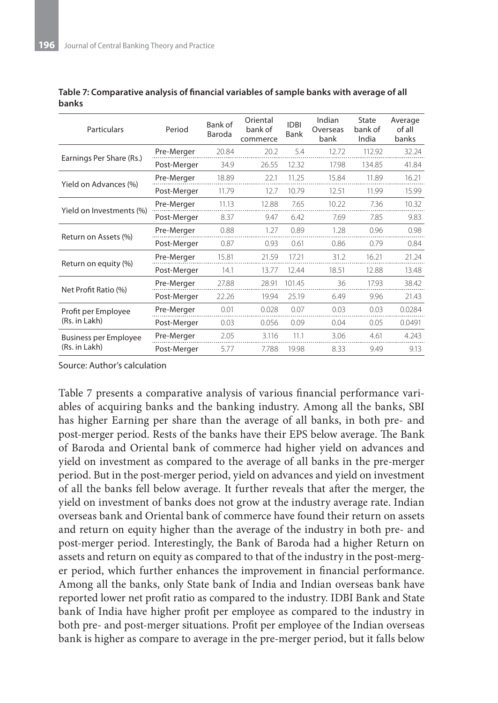| <b>Particulars</b>                            | Period      | Bank of<br>Baroda | Oriental<br>bank of<br>commerce | <b>IDBI</b><br>Bank | Indian<br>Overseas<br>bank | State<br>bank of<br>India | Average<br>of all<br>banks |
|-----------------------------------------------|-------------|-------------------|---------------------------------|---------------------|----------------------------|---------------------------|----------------------------|
|                                               | Pre-Merger  | 20.84             | 20.2                            | 5.4                 | 12.72                      | 112.92                    | 32.24                      |
| Earnings Per Share (Rs.)                      | Post-Merger | 34.9              | 26.55                           | 12.32               | 17.98                      | 134.85                    | 41.84                      |
|                                               | Pre-Merger  | 18.89             | 22.1                            | 11.25               | 15.84                      | 11.89                     | 16.21                      |
| Yield on Advances (%)                         | Post-Merger | 11.79             | 12.7                            | 10.79               | 12.51                      | 11.99                     | 15.99                      |
| Yield on Investments (%)                      | Pre-Merger  | 11.13             | 12.88                           | 7.65                | 10.22                      | 7.36                      | 10.32                      |
|                                               | Post-Merger | 8.37              | 9.47                            | 6.42                | 7.69                       | 7.85                      | 9.83                       |
| Return on Assets (%)                          | Pre-Merger  | 0.88              | 1.27                            | 0.89                | 1.28                       | 0.96                      | 0.98                       |
|                                               | Post-Merger | 0.87              | 0.93                            | 0.61                | 0.86                       | 0.79                      | 0.84                       |
|                                               | Pre-Merger  | 15.81             | 21.59                           | 17.21               | 31.2                       | 16.21                     | 21.24                      |
| Return on equity (%)                          | Post-Merger | 14.1              | 13.77                           | 12.44               | 18.51                      | 12.88                     | 13.48                      |
|                                               | Pre-Merger  | 27.88             | 28.91                           | 101.45              | 36                         | 17.93                     | 38.42                      |
| Net Profit Ratio (%)                          | Post-Merger | 22.26             | 19.94                           | 25.19               | 6.49                       | 9.96                      | 21.43                      |
| Profit per Employee                           | Pre-Merger  | 0.01              | 0.028                           | 0.07                | 0.03                       | 0.03                      | 0.0284                     |
| (Rs. in Lakh)                                 | Post-Merger | 0.03              | 0.056                           | 0.09                | 0.04                       | 0.05                      | 0.0491                     |
| <b>Business per Employee</b><br>(Rs. in Lakh) | Pre-Merger  | 2.05              | 3.116                           | 11.1                | 3.06                       | 4.61                      | 4.243                      |
|                                               | Post-Merger | 5.77              | 7.788                           | 19.98               | 8.33                       | 9.49                      | 9.13                       |

**Table 7: Comparative analysis of financial variables of sample banks with average of all banks**

Source: Author's calculation

Table 7 presents a comparative analysis of various financial performance variables of acquiring banks and the banking industry. Among all the banks, SBI has higher Earning per share than the average of all banks, in both pre- and post-merger period. Rests of the banks have their EPS below average. The Bank of Baroda and Oriental bank of commerce had higher yield on advances and yield on investment as compared to the average of all banks in the pre-merger period. But in the post-merger period, yield on advances and yield on investment of all the banks fell below average. It further reveals that after the merger, the yield on investment of banks does not grow at the industry average rate. Indian overseas bank and Oriental bank of commerce have found their return on assets and return on equity higher than the average of the industry in both pre- and post-merger period. Interestingly, the Bank of Baroda had a higher Return on assets and return on equity as compared to that of the industry in the post-merger period, which further enhances the improvement in financial performance. Among all the banks, only State bank of India and Indian overseas bank have reported lower net profit ratio as compared to the industry. IDBI Bank and State bank of India have higher profit per employee as compared to the industry in both pre- and post-merger situations. Profit per employee of the Indian overseas bank is higher as compare to average in the pre-merger period, but it falls below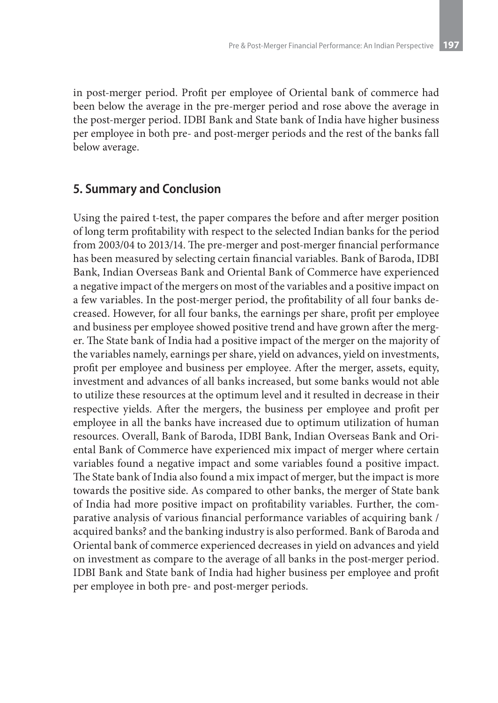in post-merger period. Profit per employee of Oriental bank of commerce had been below the average in the pre-merger period and rose above the average in the post-merger period. IDBI Bank and State bank of India have higher business per employee in both pre- and post-merger periods and the rest of the banks fall below average.

# **5. Summary and Conclusion**

Using the paired t-test, the paper compares the before and after merger position of long term profitability with respect to the selected Indian banks for the period from 2003/04 to 2013/14. The pre-merger and post-merger financial performance has been measured by selecting certain financial variables. Bank of Baroda, IDBI Bank, Indian Overseas Bank and Oriental Bank of Commerce have experienced a negative impact of the mergers on most of the variables and a positive impact on a few variables. In the post-merger period, the profitability of all four banks decreased. However, for all four banks, the earnings per share, profit per employee and business per employee showed positive trend and have grown after the merger. The State bank of India had a positive impact of the merger on the majority of the variables namely, earnings per share, yield on advances, yield on investments, profit per employee and business per employee. After the merger, assets, equity, investment and advances of all banks increased, but some banks would not able to utilize these resources at the optimum level and it resulted in decrease in their respective yields. After the mergers, the business per employee and profit per employee in all the banks have increased due to optimum utilization of human resources. Overall, Bank of Baroda, IDBI Bank, Indian Overseas Bank and Oriental Bank of Commerce have experienced mix impact of merger where certain variables found a negative impact and some variables found a positive impact. The State bank of India also found a mix impact of merger, but the impact is more towards the positive side. As compared to other banks, the merger of State bank of India had more positive impact on profitability variables. Further, the comparative analysis of various financial performance variables of acquiring bank / acquired banks? and the banking industry is also performed. Bank of Baroda and Oriental bank of commerce experienced decreases in yield on advances and yield on investment as compare to the average of all banks in the post-merger period. IDBI Bank and State bank of India had higher business per employee and profit per employee in both pre- and post-merger periods.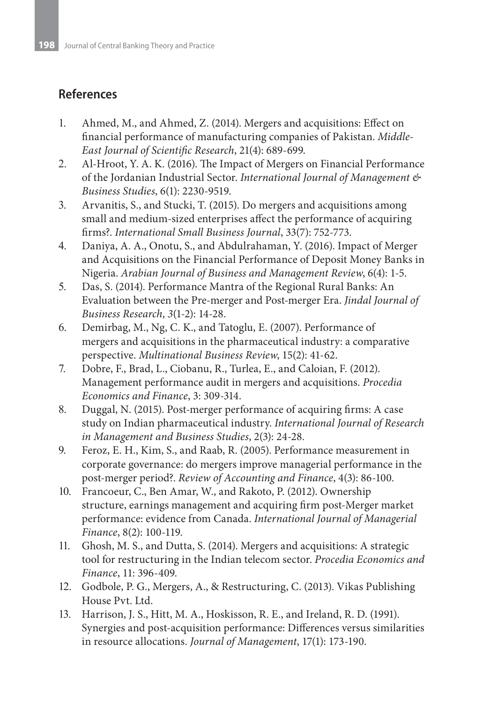# **References**

- 1. Ahmed, M., and Ahmed, Z. (2014). Mergers and acquisitions: Effect on financial performance of manufacturing companies of Pakistan. *Middle-East Journal of Scientific Research*, 21(4): 689-699.
- 2. Al-Hroot, Y. A. K. (2016). The Impact of Mergers on Financial Performance of the Jordanian Industrial Sector. *International Journal of Management & Business Studies*, 6(1): 2230-9519.
- 3. Arvanitis, S., and Stucki, T. (2015). Do mergers and acquisitions among small and medium-sized enterprises affect the performance of acquiring firms?. *International Small Business Journal*, 33(7): 752-773.
- 4. Daniya, A. A., Onotu, S., and Abdulrahaman, Y. (2016). Impact of Merger and Acquisitions on the Financial Performance of Deposit Money Banks in Nigeria. *Arabian Journal of Business and Management Review*, 6(4): 1-5.
- 5. Das, S. (2014). Performance Mantra of the Regional Rural Banks: An Evaluation between the Pre-merger and Post-merger Era. *Jindal Journal of Business Research*, *3*(1-2): 14-28.
- 6. Demirbag, M., Ng, C. K., and Tatoglu, E. (2007). Performance of mergers and acquisitions in the pharmaceutical industry: a comparative perspective. *Multinational Business Review*, 15(2): 41-62.
- 7. Dobre, F., Brad, L., Ciobanu, R., Turlea, E., and Caloian, F. (2012). Management performance audit in mergers and acquisitions. *Procedia Economics and Finance*, 3: 309-314.
- 8. Duggal, N. (2015). Post-merger performance of acquiring firms: A case study on Indian pharmaceutical industry. *International Journal of Research in Management and Business Studies*, 2(3): 24-28.
- 9. Feroz, E. H., Kim, S., and Raab, R. (2005). Performance measurement in corporate governance: do mergers improve managerial performance in the post-merger period?. *Review of Accounting and Finance*, 4(3): 86-100.
- 10. Francoeur, C., Ben Amar, W., and Rakoto, P. (2012). Ownership structure, earnings management and acquiring firm post-Merger market performance: evidence from Canada. *International Journal of Managerial Finance*, 8(2): 100-119.
- 11. Ghosh, M. S., and Dutta, S. (2014). Mergers and acquisitions: A strategic tool for restructuring in the Indian telecom sector. *Procedia Economics and Finance*, 11: 396-409.
- 12. Godbole, P. G., Mergers, A., & Restructuring, C. (2013). Vikas Publishing House Pvt. Ltd.
- 13. Harrison, J. S., Hitt, M. A., Hoskisson, R. E., and Ireland, R. D. (1991). Synergies and post-acquisition performance: Differences versus similarities in resource allocations. *Journal of Management*, 17(1): 173-190.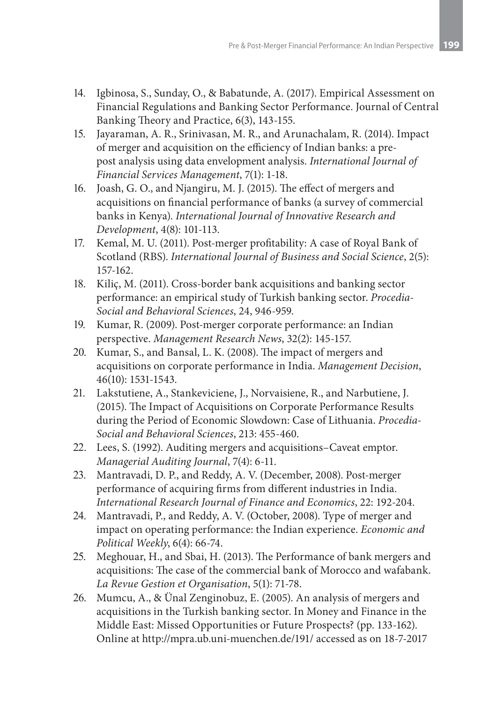- 14. Igbinosa, S., Sunday, O., & Babatunde, A. (2017). Empirical Assessment on Financial Regulations and Banking Sector Performance. Journal of Central Banking Theory and Practice, 6(3), 143-155.
- 15. Jayaraman, A. R., Srinivasan, M. R., and Arunachalam, R. (2014). Impact of merger and acquisition on the efficiency of Indian banks: a prepost analysis using data envelopment analysis. *International Journal of Financial Services Management*, 7(1): 1-18.
- 16. Joash, G. O., and Njangiru, M. J. (2015). The effect of mergers and acquisitions on financial performance of banks (a survey of commercial banks in Kenya). *International Journal of Innovative Research and Development*, 4(8): 101-113.
- 17. Kemal, M. U. (2011). Post-merger profitability: A case of Royal Bank of Scotland (RBS). *International Journal of Business and Social Science*, 2(5): 157-162.
- 18. Kiliç, M. (2011). Cross-border bank acquisitions and banking sector performance: an empirical study of Turkish banking sector. *Procedia-Social and Behavioral Sciences*, 24, 946-959.
- 19. Kumar, R. (2009). Post-merger corporate performance: an Indian perspective. *Management Research News*, 32(2): 145-157.
- 20. Kumar, S., and Bansal, L. K. (2008). The impact of mergers and acquisitions on corporate performance in India. *Management Decision*, 46(10): 1531-1543.
- 21. Lakstutiene, A., Stankeviciene, J., Norvaisiene, R., and Narbutiene, J. (2015). The Impact of Acquisitions on Corporate Performance Results during the Period of Economic Slowdown: Case of Lithuania. *Procedia-Social and Behavioral Sciences*, 213: 455-460.
- 22. Lees, S. (1992). Auditing mergers and acquisitions–Caveat emptor. *Managerial Auditing Journal*, 7(4): 6-11.
- 23. Mantravadi, D. P., and Reddy, A. V. (December, 2008). Post-merger performance of acquiring firms from different industries in India. *International Research Journal of Finance and Economics*, 22: 192-204.
- 24. Mantravadi, P., and Reddy, A. V. (October, 2008). Type of merger and impact on operating performance: the Indian experience. *Economic and Political Weekly*, 6(4): 66-74.
- 25. Meghouar, H., and Sbai, H. (2013). The Performance of bank mergers and acquisitions: The case of the commercial bank of Morocco and wafabank. *La Revue Gestion et Organisation*, 5(1): 71-78.
- 26. Mumcu, A., & Ünal Zenginobuz, E. (2005). An analysis of mergers and acquisitions in the Turkish banking sector. In Money and Finance in the Middle East: Missed Opportunities or Future Prospects? (pp. 133-162). Online at http://mpra.ub.uni-muenchen.de/191/ accessed as on 18-7-2017